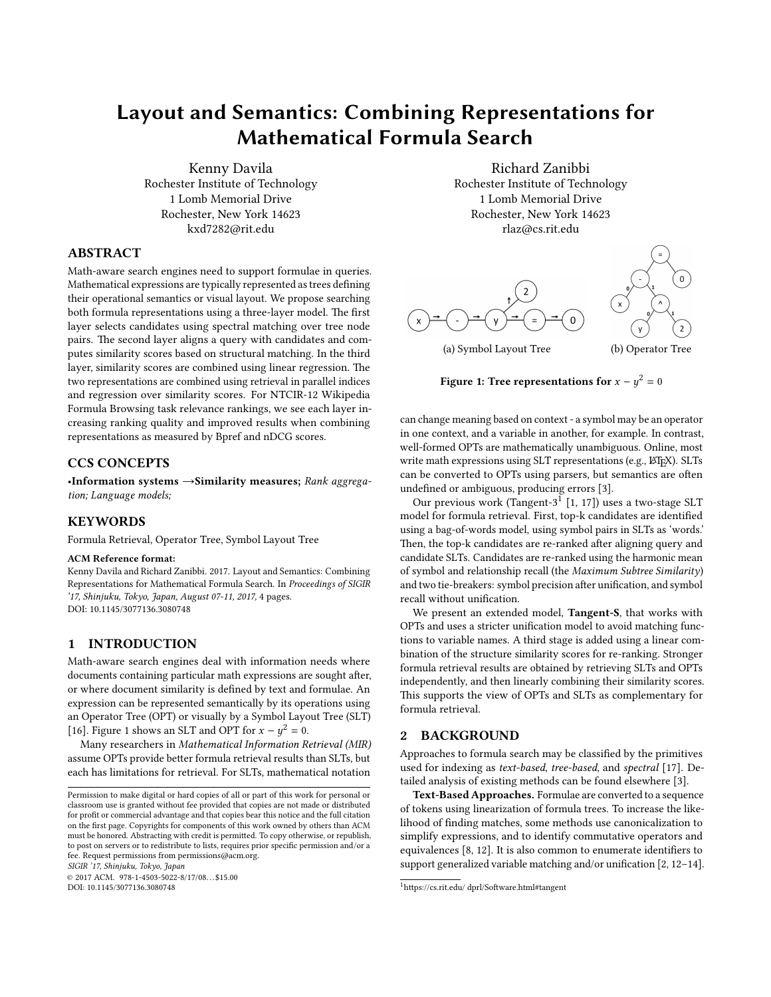# Layout and Semantics: Combining Representations for Mathematical Formula Search

Kenny Davila Rochester Institute of Technology 1 Lomb Memorial Drive Rochester, New York 14623 kxd7282@rit.edu

## ABSTRACT

Math-aware search engines need to support formulae in queries. Mathematical expressions are typically represented as trees defining their operational semantics or visual layout. We propose searching both formula representations using a three-layer model. The first layer selects candidates using spectral matching over tree node pairs. The second layer aligns a query with candidates and computes similarity scores based on structural matching. In the third layer, similarity scores are combined using linear regression. The two representations are combined using retrieval in parallel indices and regression over similarity scores. For NTCIR-12 Wikipedia Formula Browsing task relevance rankings, we see each layer increasing ranking quality and improved results when combining representations as measured by Bpref and nDCG scores.

## CCS CONCEPTS

•Information systems →Similarity measures; Rank aggregation; Language models;

### **KEYWORDS**

Formula Retrieval, Operator Tree, Symbol Layout Tree

#### ACM Reference format:

Kenny Davila and Richard Zanibbi. 2017. Layout and Semantics: Combining Representations for Mathematical Formula Search. In Proceedings of SIGIR '17, Shinjuku, Tokyo, Japan, August 07-11, 2017, [4](#page-3-0) pages. DOI: 10.1145/3077136.3080748

# 1 INTRODUCTION

Math-aware search engines deal with information needs where documents containing particular math expressions are sought after, or where document similarity is defined by text and formulae. An expression can be represented semantically by its operations using an Operator Tree (OPT) or visually by a Symbol Layout Tree (SLT) [\[16\]](#page-3-1). Figure [1](#page-0-0) shows an SLT and OPT for  $x - y^2 = 0$ .<br>Many researchers in Mathematical Information  $\overline{P}$ 

Many researchers in Mathematical Information Retrieval (MIR) assume OPTs provide better formula retrieval results than SLTs, but each has limitations for retrieval. For SLTs, mathematical notation

SIGIR '17, Shinjuku, Tokyo, Japan

© 2017 ACM. 978-1-4503-5022-8/17/08. . . \$15.00

DOI: 10.1145/3077136.3080748

Richard Zanibbi Rochester Institute of Technology 1 Lomb Memorial Drive Rochester, New York 14623 rlaz@cs.rit.edu

<span id="page-0-0"></span>

(a) Symbol Layout Tree (b) Operator Tree

# Figure 1: Tree representations for  $x - y^2 = 0$

can change meaning based on context - a symbol may be an operator in one context, and a variable in another, for example. In contrast, well-formed OPTs are mathematically unambiguous. Online, most write math expressions using SLT representations (e.g., LATEX). SLTs can be converted to OPTs using parsers, but semantics are often undefined or ambiguous, producing errors [\[3\]](#page-3-2).

Our previous work (Tangent-3<sup>[1](#page-0-1)</sup> [\[1,](#page-3-3) [17\]](#page-3-4)) uses a two-stage SLT model for formula retrieval. First, top-k candidates are identified using a bag-of-words model, using symbol pairs in SLTs as 'words.' Then, the top-k candidates are re-ranked after aligning query and candidate SLTs. Candidates are re-ranked using the harmonic mean of symbol and relationship recall (the Maximum Subtree Similarity) and two tie-breakers: symbol precision after unification, and symbol recall without unification.

We present an extended model, Tangent-S, that works with OPTs and uses a stricter unification model to avoid matching functions to variable names. A third stage is added using a linear combination of the structure similarity scores for re-ranking. Stronger formula retrieval results are obtained by retrieving SLTs and OPTs independently, and then linearly combining their similarity scores. This supports the view of OPTs and SLTs as complementary for formula retrieval.

## 2 BACKGROUND

Approaches to formula search may be classified by the primitives used for indexing as text-based, tree-based, and spectral [\[17\]](#page-3-4). Detailed analysis of existing methods can be found elsewhere [\[3\]](#page-3-2).

Text-Based Approaches. Formulae are converted to a sequence of tokens using linearization of formula trees. To increase the likelihood of finding matches, some methods use canonicalization to simplify expressions, and to identify commutative operators and equivalences  $[8, 12]$  $[8, 12]$  $[8, 12]$ . It is also common to enumerate identifiers to support generalized variable matching and/or unification  $[2, 12-14]$  $[2, 12-14]$  $[2, 12-14]$  $[2, 12-14]$ .

Permission to make digital or hard copies of all or part of this work for personal or classroom use is granted without fee provided that copies are not made or distributed for profit or commercial advantage and that copies bear this notice and the full citation on the first page. Copyrights for components of this work owned by others than ACM must be honored. Abstracting with credit is permitted. To copy otherwise, or republish, to post on servers or to redistribute to lists, requires prior specific permission and/or a fee. Request permissions from permissions@acm.org.

<span id="page-0-1"></span><sup>&</sup>lt;sup>1</sup>https://cs.rit.edu/ dprl/Software.html#tangent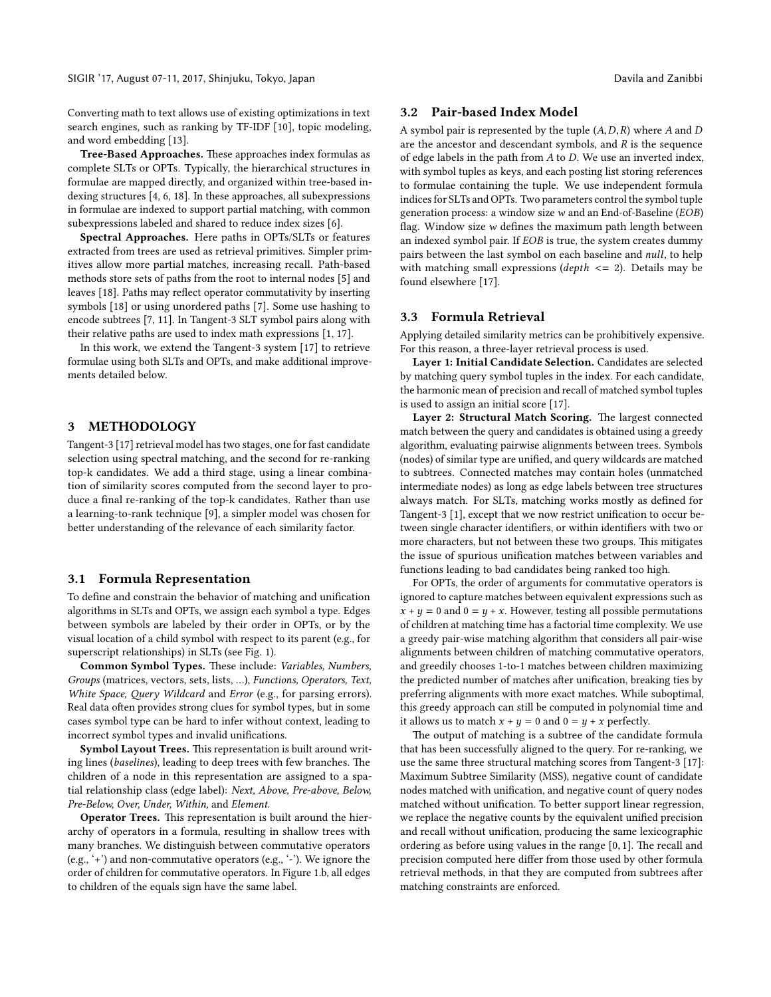SIGIR '17, August 07-11, 2017, Shinjuku, Tokyo, Japan Davila and Zanibbi

Converting math to text allows use of existing optimizations in text search engines, such as ranking by TF-IDF [\[10\]](#page-3-9), topic modeling, and word embedding [\[13\]](#page-3-10).

Tree-Based Approaches. These approaches index formulas as complete SLTs or OPTs. Typically, the hierarchical structures in formulae are mapped directly, and organized within tree-based indexing structures [\[4,](#page-3-11) [6,](#page-3-12) [18\]](#page-3-13). In these approaches, all subexpressions in formulae are indexed to support partial matching, with common subexpressions labeled and shared to reduce index sizes [\[6\]](#page-3-12).

Spectral Approaches. Here paths in OPTs/SLTs or features extracted from trees are used as retrieval primitives. Simpler primitives allow more partial matches, increasing recall. Path-based methods store sets of paths from the root to internal nodes [\[5\]](#page-3-14) and leaves [\[18\]](#page-3-13). Paths may reflect operator commutativity by inserting symbols [\[18\]](#page-3-13) or using unordered paths [\[7\]](#page-3-15). Some use hashing to encode subtrees [\[7,](#page-3-15) [11\]](#page-3-16). In Tangent-3 SLT symbol pairs along with their relative paths are used to index math expressions [\[1,](#page-3-3) [17\]](#page-3-4).

In this work, we extend the Tangent-3 system [\[17\]](#page-3-4) to retrieve formulae using both SLTs and OPTs, and make additional improvements detailed below.

## 3 METHODOLOGY

Tangent-3 [\[17\]](#page-3-4) retrieval model has two stages, one for fast candidate selection using spectral matching, and the second for re-ranking top-k candidates. We add a third stage, using a linear combination of similarity scores computed from the second layer to produce a final re-ranking of the top-k candidates. Rather than use a learning-to-rank technique [\[9\]](#page-3-17), a simpler model was chosen for better understanding of the relevance of each similarity factor.

#### 3.1 Formula Representation

To define and constrain the behavior of matching and unification algorithms in SLTs and OPTs, we assign each symbol a type. Edges between symbols are labeled by their order in OPTs, or by the visual location of a child symbol with respect to its parent (e.g., for superscript relationships) in SLTs (see Fig. [1\)](#page-0-0).

Common Symbol Types. These include: Variables, Numbers, Groups (matrices, vectors, sets, lists, …), Functions, Operators, Text, White Space, Query Wildcard and Error (e.g., for parsing errors). Real data often provides strong clues for symbol types, but in some cases symbol type can be hard to infer without context, leading to incorrect symbol types and invalid unifications.

Symbol Layout Trees. This representation is built around writing lines (baselines), leading to deep trees with few branches. The children of a node in this representation are assigned to a spatial relationship class (edge label): Next, Above, Pre-above, Below, Pre-Below, Over, Under, Within, and Element.

Operator Trees. This representation is built around the hierarchy of operators in a formula, resulting in shallow trees with many branches. We distinguish between commutative operators (e.g., '+') and non-commutative operators (e.g., '-'). We ignore the order of children for commutative operators. In Figure [1.](#page-0-0)b, all edges to children of the equals sign have the same label.

### 3.2 Pair-based Index Model

A symbol pair is represented by the tuple  $(A, D, R)$  where A and D are the ancestor and descendant symbols, and  $R$  is the sequence of edge labels in the path from A to D. We use an inverted index, with symbol tuples as keys, and each posting list storing references to formulae containing the tuple. We use independent formula indices for SLTs and OPTs. Two parameters control the symbol tuple generation process: a window size w and an End-of-Baseline (EOB) flag. Window size  $w$  defines the maximum path length between an indexed symbol pair. If EOB is true, the system creates dummy pairs between the last symbol on each baseline and null, to help with matching small expressions (depth  $\leq$  2). Details may be found elsewhere [\[17\]](#page-3-4).

### <span id="page-1-0"></span>3.3 Formula Retrieval

Applying detailed similarity metrics can be prohibitively expensive. For this reason, a three-layer retrieval process is used.

Layer 1: Initial Candidate Selection. Candidates are selected by matching query symbol tuples in the index. For each candidate, the harmonic mean of precision and recall of matched symbol tuples is used to assign an initial score [\[17\]](#page-3-4).

Layer 2: Structural Match Scoring. The largest connected match between the query and candidates is obtained using a greedy algorithm, evaluating pairwise alignments between trees. Symbols (nodes) of similar type are unified, and query wildcards are matched to subtrees. Connected matches may contain holes (unmatched intermediate nodes) as long as edge labels between tree structures always match. For SLTs, matching works mostly as defined for Tangent-3 [\[1\]](#page-3-3), except that we now restrict unification to occur between single character identifiers, or within identifiers with two or more characters, but not between these two groups. This mitigates the issue of spurious unification matches between variables and functions leading to bad candidates being ranked too high.

For OPTs, the order of arguments for commutative operators is ignored to capture matches between equivalent expressions such as  $x + y = 0$  and  $0 = y + x$ . However, testing all possible permutations of children at matching time has a factorial time complexity. We use a greedy pair-wise matching algorithm that considers all pair-wise alignments between children of matching commutative operators, and greedily chooses 1-to-1 matches between children maximizing the predicted number of matches after unification, breaking ties by preferring alignments with more exact matches. While suboptimal, this greedy approach can still be computed in polynomial time and it allows us to match  $x + y = 0$  and  $0 = y + x$  perfectly.

The output of matching is a subtree of the candidate formula that has been successfully aligned to the query. For re-ranking, we use the same three structural matching scores from Tangent-3 [\[17\]](#page-3-4): Maximum Subtree Similarity (MSS), negative count of candidate nodes matched with unification, and negative count of query nodes matched without unification. To better support linear regression, we replace the negative counts by the equivalent unified precision and recall without unification, producing the same lexicographic ordering as before using values in the range  $[0,1]$ . The recall and precision computed here differ from those used by other formula retrieval methods, in that they are computed from subtrees after matching constraints are enforced.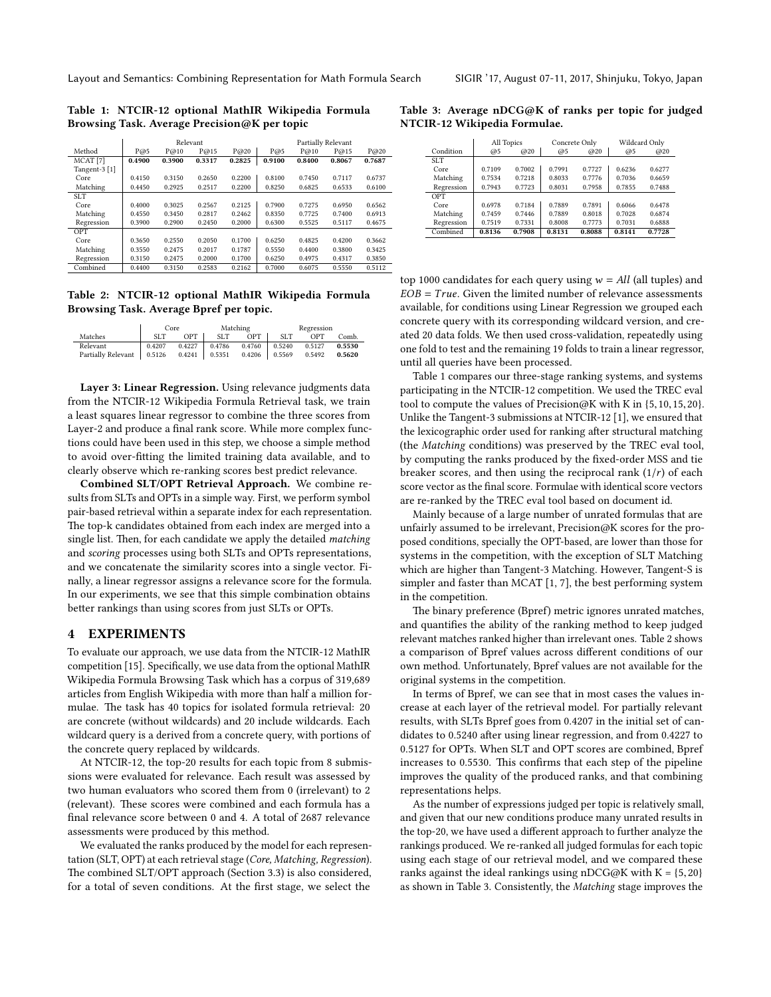<span id="page-2-0"></span>Table 1: NTCIR-12 optional MathIR Wikipedia Formula Browsing Task. Average Precision@K per topic

|                     | Relevant |        |        |        | Partially Relevant |        |        |        |
|---------------------|----------|--------|--------|--------|--------------------|--------|--------|--------|
| Method              | P@5      | P@10   | P@15   | P@20   | P@5                | P@10   | P@15   | P@20   |
| MCAT <sup>[7]</sup> | 0.4900   | 0.3900 | 0.3317 | 0.2825 | 0.9100             | 0.8400 | 0.8067 | 0.7687 |
| Tangent-3 [1]       |          |        |        |        |                    |        |        |        |
| Core                | 0.4150   | 0.3150 | 0.2650 | 0.2200 | 0.8100             | 0.7450 | 0.7117 | 0.6737 |
| Matching            | 0.4450   | 0.2925 | 0.2517 | 0.2200 | 0.8250             | 0.6825 | 0.6533 | 0.6100 |
| <b>SLT</b>          |          |        |        |        |                    |        |        |        |
| Core                | 0.4000   | 0.3025 | 0.2567 | 0.2125 | 0.7900             | 0.7275 | 0.6950 | 0.6562 |
| Matching            | 0.4550   | 0.3450 | 0.2817 | 0.2462 | 0.8350             | 0.7725 | 0.7400 | 0.6913 |
| Regression          | 0.3900   | 0.2900 | 0.2450 | 0.2000 | 0.6300             | 0.5525 | 0.5117 | 0.4675 |
| OPT                 |          |        |        |        |                    |        |        |        |
| Core                | 0.3650   | 0.2550 | 0.2050 | 0.1700 | 0.6250             | 0.4825 | 0.4200 | 0.3662 |
| Matching            | 0.3550   | 0.2475 | 0.2017 | 0.1787 | 0.5550             | 0.4400 | 0.3800 | 0.3425 |
| Regression          | 0.3150   | 0.2475 | 0.2000 | 0.1700 | 0.6250             | 0.4975 | 0.4317 | 0.3850 |
| Combined            | 0.4400   | 0.3150 | 0.2583 | 0.2162 | 0.7000             | 0.6075 | 0.5550 | 0.5112 |

<span id="page-2-1"></span>Table 2: NTCIR-12 optional MathIR Wikipedia Formula Browsing Task. Average Bpref per topic.

|                           | Core            |        | Matching        |        | Regression      |        |        |
|---------------------------|-----------------|--------|-----------------|--------|-----------------|--------|--------|
| Matches                   | SLT <sub></sub> | OPT    | SLT <sub></sub> | OPT    | SLT <sub></sub> | OPT    | Comb.  |
| Relevant                  | 0.4207          | 0.4227 | 0.4786          | 0.4760 | 0.5240          | 0.5127 | 0.5530 |
| <b>Partially Relevant</b> | 0.5126          | 0.4241 | 0.5351          | 0.4206 | 0.5569          | 0.5492 | 0.5620 |

Layer 3: Linear Regression. Using relevance judgments data from the NTCIR-12 Wikipedia Formula Retrieval task, we train a least squares linear regressor to combine the three scores from Layer-2 and produce a final rank score. While more complex functions could have been used in this step, we choose a simple method to avoid over-fitting the limited training data available, and to clearly observe which re-ranking scores best predict relevance.

Combined SLT/OPT Retrieval Approach. We combine results from SLTs and OPTs in a simple way. First, we perform symbol pair-based retrieval within a separate index for each representation. The top-k candidates obtained from each index are merged into a single list. Then, for each candidate we apply the detailed matching and scoring processes using both SLTs and OPTs representations, and we concatenate the similarity scores into a single vector. Finally, a linear regressor assigns a relevance score for the formula. In our experiments, we see that this simple combination obtains better rankings than using scores from just SLTs or OPTs.

## 4 EXPERIMENTS

To evaluate our approach, we use data from the NTCIR-12 MathIR competition [\[15\]](#page-3-18). Specifically, we use data from the optional MathIR Wikipedia Formula Browsing Task which has a corpus of 319,689 articles from English Wikipedia with more than half a million formulae. The task has 40 topics for isolated formula retrieval: 20 are concrete (without wildcards) and 20 include wildcards. Each wildcard query is a derived from a concrete query, with portions of the concrete query replaced by wildcards.

At NTCIR-12, the top-20 results for each topic from 8 submissions were evaluated for relevance. Each result was assessed by two human evaluators who scored them from 0 (irrelevant) to 2 (relevant). These scores were combined and each formula has a final relevance score between 0 and 4. A total of 2687 relevance assessments were produced by this method.

We evaluated the ranks produced by the model for each representation (SLT, OPT) at each retrieval stage (Core, Matching, Regression). The combined SLT/OPT approach (Section [3.3\)](#page-1-0) is also considered, for a total of seven conditions. At the first stage, we select the

<span id="page-2-2"></span>Table 3: Average nDCG@K of ranks per topic for judged NTCIR-12 Wikipedia Formulae.

|                 | All Topics |        |        | Concrete Only | Wildcard Only |        |
|-----------------|------------|--------|--------|---------------|---------------|--------|
| Condition       | @5         | @20    | @5     | @20           | @5            | @20    |
| SLT <sub></sub> |            |        |        |               |               |        |
| Core            | 0.7109     | 0.7002 | 0.7991 | 0.7727        | 0.6236        | 0.6277 |
| Matching        | 0.7534     | 0.7218 | 0.8033 | 0.7776        | 0.7036        | 0.6659 |
| Regression      | 0.7943     | 0.7723 | 0.8031 | 0.7958        | 0.7855        | 0.7488 |
| OPT             |            |        |        |               |               |        |
| Core            | 0.6978     | 0.7184 | 0.7889 | 0.7891        | 0.6066        | 0.6478 |
| Matching        | 0.7459     | 0.7446 | 0.7889 | 0.8018        | 0.7028        | 0.6874 |
| Regression      | 0.7519     | 0.7331 | 0.8008 | 0.7773        | 0.7031        | 0.6888 |
| Combined        | 0.8136     | 0.7908 | 0.8131 | 0.8088        | 0.8141        | 0.7728 |

top 1000 candidates for each query using  $w = All$  (all tuples) and  $EOB = True$ . Given the limited number of relevance assessments available, for conditions using Linear Regression we grouped each concrete query with its corresponding wildcard version, and created 20 data folds. We then used cross-validation, repeatedly using one fold to test and the remaining 19 folds to train a linear regressor, until all queries have been processed.

Table [1](#page-2-0) compares our three-stage ranking systems, and systems participating in the NTCIR-12 competition. We used the TREC eval tool to compute the values of Precision@K with K in {5,10,15,20}. Unlike the Tangent-3 submissions at NTCIR-12 [\[1\]](#page-3-3), we ensured that the lexicographic order used for ranking after structural matching (the Matching conditions) was preserved by the TREC eval tool, by computing the ranks produced by the fixed-order MSS and tie breaker scores, and then using the reciprocal rank  $(1/r)$  of each score vector as the final score. Formulae with identical score vectors are re-ranked by the TREC eval tool based on document id.

Mainly because of a large number of unrated formulas that are unfairly assumed to be irrelevant, Precision@K scores for the proposed conditions, specially the OPT-based, are lower than those for systems in the competition, with the exception of SLT Matching which are higher than Tangent-3 Matching. However, Tangent-S is simpler and faster than MCAT [\[1,](#page-3-3) [7\]](#page-3-15), the best performing system in the competition.

The binary preference (Bpref) metric ignores unrated matches, and quantifies the ability of the ranking method to keep judged relevant matches ranked higher than irrelevant ones. Table [2](#page-2-1) shows a comparison of Bpref values across different conditions of our own method. Unfortunately, Bpref values are not available for the original systems in the competition.

In terms of Bpref, we can see that in most cases the values increase at each layer of the retrieval model. For partially relevant results, with SLTs Bpref goes from 0.4207 in the initial set of candidates to 0.5240 after using linear regression, and from 0.4227 to 0.5127 for OPTs. When SLT and OPT scores are combined, Bpref increases to 0.5530. This confirms that each step of the pipeline improves the quality of the produced ranks, and that combining representations helps.

As the number of expressions judged per topic is relatively small, and given that our new conditions produce many unrated results in the top-20, we have used a different approach to further analyze the rankings produced. We re-ranked all judged formulas for each topic using each stage of our retrieval model, and we compared these ranks against the ideal rankings using nDCG@K with  $K = \{5, 20\}$ as shown in Table [3.](#page-2-2) Consistently, the Matching stage improves the